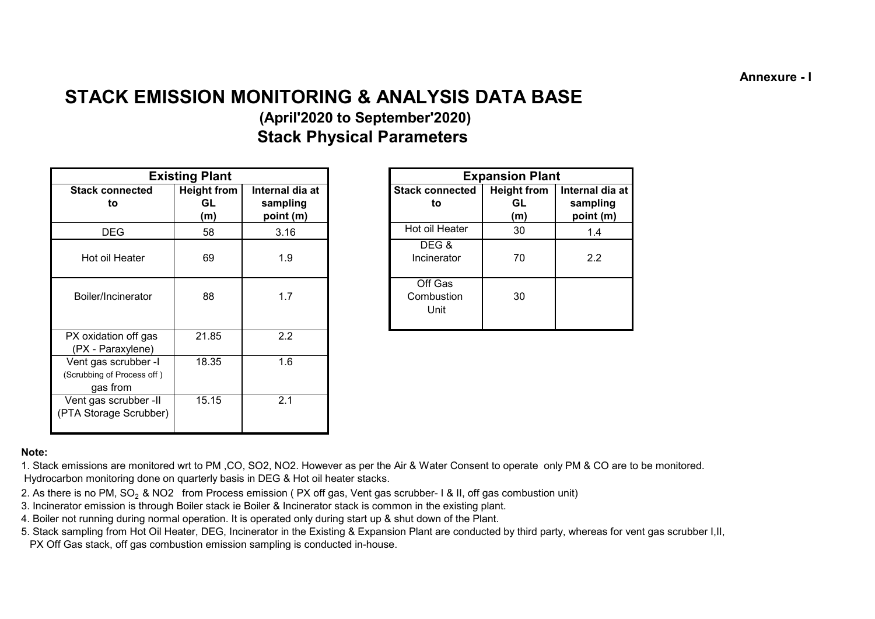**Annexure - I**

# **STACK EMISSION MONITORING & ANALYSIS DATA BASE**

# **(April'2020 to September'2020) Stack Physical Parameters**

|                                                                | <b>Existing Plant</b>           |                                          |                               | <b>Expansion Plant</b>          |
|----------------------------------------------------------------|---------------------------------|------------------------------------------|-------------------------------|---------------------------------|
| <b>Stack connected</b><br>to                                   | <b>Height from</b><br>GL<br>(m) | Internal dia at<br>sampling<br>point (m) | <b>Stack connected</b><br>to  | <b>Height from</b><br>GL<br>(m) |
| <b>DEG</b>                                                     | 58                              | 3.16                                     | Hot oil Heater                | 30                              |
| Hot oil Heater                                                 | 69                              | 1.9                                      | DEG&<br>Incinerator           | 70                              |
| Boiler/Incinerator                                             | 88                              | 1.7                                      | Off Gas<br>Combustion<br>Unit | 30                              |
| PX oxidation off gas<br>(PX - Paraxylene)                      | 21.85                           | 2.2                                      |                               |                                 |
| Vent gas scrubber -I<br>(Scrubbing of Process off)<br>gas from | 18.35                           | 1.6                                      |                               |                                 |
| Vent gas scrubber -II<br>(PTA Storage Scrubber)                | 15.15                           | 2.1                                      |                               |                                 |

|                | <b>Existing Plant</b>     |                                          |                               | <b>Expansion Plant</b>          |                                          |
|----------------|---------------------------|------------------------------------------|-------------------------------|---------------------------------|------------------------------------------|
| onnected<br>to | Height from<br>GL.<br>(m) | Internal dia at<br>sampling<br>point (m) | <b>Stack connected</b><br>to  | <b>Height from</b><br>GL<br>(m) | Internal dia at<br>sampling<br>point (m) |
| EG             | 58                        | 3.16                                     | Hot oil Heater                | 30                              | 1.4                                      |
| I Heater       | 69                        | 1.9                                      | DEG&<br>Incinerator           | 70                              | 2.2                                      |
| าcinerator     | 88                        | 1.7                                      | Off Gas<br>Combustion<br>Unit | 30                              |                                          |

#### **Note:**

1. Stack emissions are monitored wrt to PM ,CO, SO2, NO2. However as per the Air & Water Consent to operate only PM & CO are to be monitored. Hydrocarbon monitoring done on quarterly basis in DEG & Hot oil heater stacks.

- 2. As there is no PM, SO<sub>2</sub> & NO2 from Process emission (PX off gas, Vent gas scrubber- 1 & II, off gas combustion unit)
- 3. Incinerator emission is through Boiler stack ie Boiler & Incinerator stack is common in the existing plant.
- 4. Boiler not running during normal operation. It is operated only during start up & shut down of the Plant.
- PX Off Gas stack, off gas combustion emission sampling is conducted in-house. 5. Stack sampling from Hot Oil Heater, DEG, Incinerator in the Existing & Expansion Plant are conducted by third party, whereas for vent gas scrubber I,II,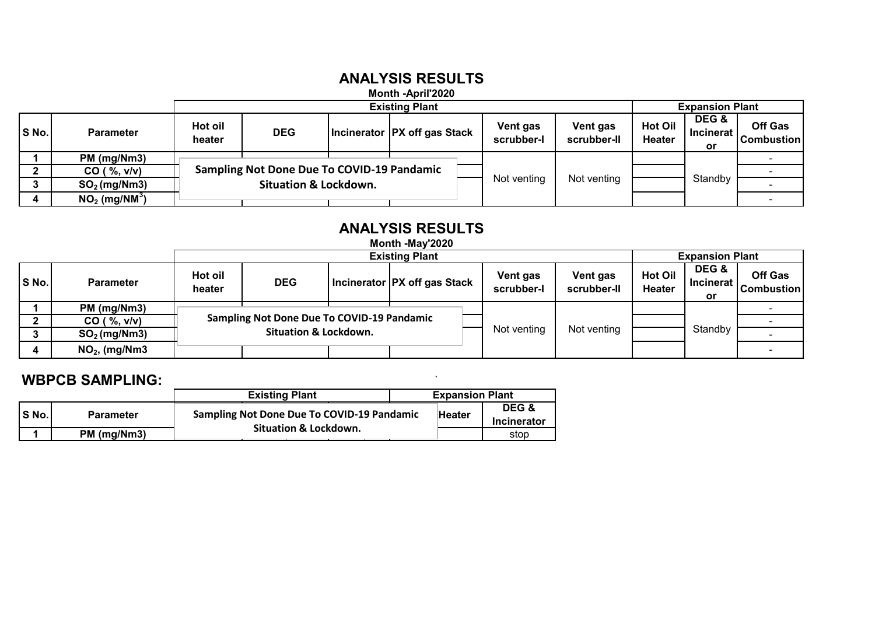### **ANALYSIS RESULTS**

### **Month -April'2020**

|       |                             |                   |                                                   |                                | <b>Expansion Plant</b> |                         |                          |                                 |                                     |
|-------|-----------------------------|-------------------|---------------------------------------------------|--------------------------------|------------------------|-------------------------|--------------------------|---------------------------------|-------------------------------------|
| S No. | <b>Parameter</b>            | Hot oil<br>heater | <b>DEG</b>                                        | Incinerator   PX off gas Stack | Vent gas<br>scrubber-l | Vent gas<br>scrubber-II | <b>Hot Oil</b><br>Heater | DEG &<br><b>Incinerat</b><br>or | <b>Off Gas</b><br><b>Combustion</b> |
|       | PM (mg/Nm3)                 |                   |                                                   |                                |                        |                         |                          |                                 |                                     |
|       | CO ( %, v/v)                |                   | <b>Sampling Not Done Due To COVID-19 Pandamic</b> |                                |                        |                         |                          |                                 |                                     |
|       | $SO2$ (mg/Nm3)              |                   | <b>Situation &amp; Lockdown.</b>                  |                                | Not venting            | Not venting             |                          | Standby                         |                                     |
|       | $NO2$ (mg/NM <sup>3</sup> ) |                   |                                                   |                                |                        |                         |                          |                                 |                                     |

#### **ANALYSIS RESULTS Month -May'2020**

|       | MONTH -MAY 2020  |                   |                                                   |  |                                |                        |                         |                                 |                                 |                                     |  |
|-------|------------------|-------------------|---------------------------------------------------|--|--------------------------------|------------------------|-------------------------|---------------------------------|---------------------------------|-------------------------------------|--|
|       |                  |                   |                                                   |  | <b>Expansion Plant</b>         |                        |                         |                                 |                                 |                                     |  |
| S No. | <b>Parameter</b> | Hot oil<br>heater | <b>DEG</b>                                        |  | Incinerator   PX off gas Stack | Vent gas<br>scrubber-l | Vent gas<br>scrubber-II | <b>Hot Oil</b><br><b>Heater</b> | DEG &<br><b>Incinerat</b><br>or | <b>Off Gas</b><br><b>Combustion</b> |  |
|       | PM (mg/Nm3)      |                   |                                                   |  |                                |                        |                         |                                 |                                 |                                     |  |
|       | CO ( %, v/v)     |                   | <b>Sampling Not Done Due To COVID-19 Pandamic</b> |  |                                |                        |                         |                                 |                                 |                                     |  |
|       | $SO2$ (mg/Nm3)   |                   | <b>Situation &amp; Lockdown.</b>                  |  | Not venting                    | Not venting            |                         | Standby                         |                                 |                                     |  |
|       | $NO2$ , (mg/Nm3) |                   |                                                   |  |                                |                        |                         |                                 |                                 |                                     |  |

### **WBPCB SAMPLING:** `

|          |                  | <b>Existing Plant</b>                             | <b>Expansion Plant</b> |                    |
|----------|------------------|---------------------------------------------------|------------------------|--------------------|
| l S No.l | <b>Parameter</b> | <b>Sampling Not Done Due To COVID-19 Pandamic</b> | Heater                 | DEG &              |
|          |                  |                                                   |                        | <b>Incinerator</b> |
|          | PM (mg/Nm3)      | Situation & Lockdown.                             |                        | stop               |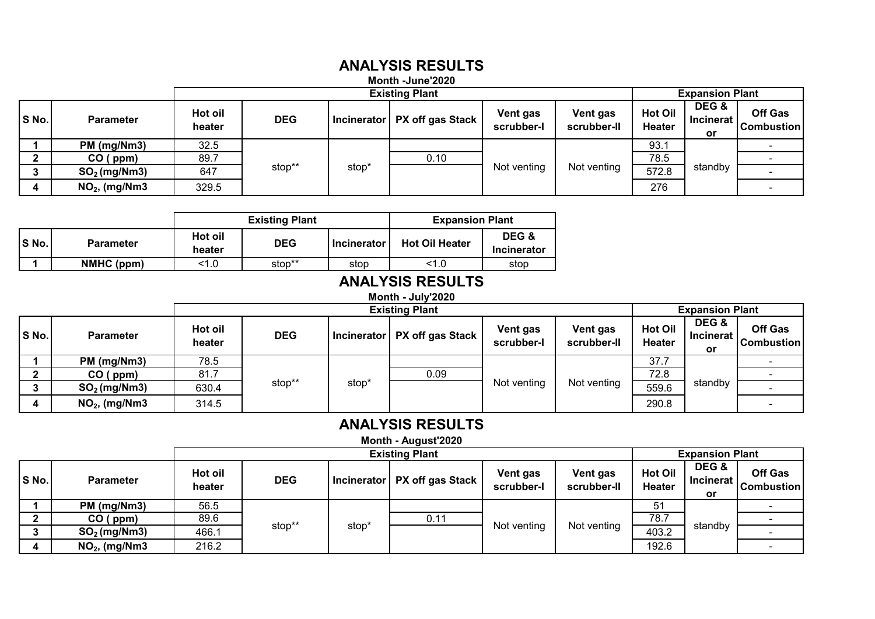#### **Month -June'2020 ANALYSIS RESULTS**

|       |                  |                   |                       |                   | <b>IVIUIIIII FJUIIE ZUZU</b>   |                        |                         |                                 |                                   |                                     |  |
|-------|------------------|-------------------|-----------------------|-------------------|--------------------------------|------------------------|-------------------------|---------------------------------|-----------------------------------|-------------------------------------|--|
|       |                  |                   | <b>Existing Plant</b> |                   |                                |                        |                         | <b>Expansion Plant</b>          |                                   |                                     |  |
| S No. | <b>Parameter</b> | Hot oil<br>heater | <b>DEG</b>            |                   | Incinerator   PX off gas Stack | Vent gas<br>scrubber-l | Vent gas<br>scrubber-II | <b>Hot Oil</b><br><b>Heater</b> | DEG &<br><b>Incinerat I</b><br>or | <b>Off Gas</b><br><b>Combustion</b> |  |
|       | PM (mg/Nm3)      | 32.5              |                       |                   |                                |                        |                         | 93.1                            |                                   |                                     |  |
|       | CO (ppm)         | 89.7              |                       |                   | 0.10                           | Not venting            | Not venting             | 78.5                            | standby                           |                                     |  |
|       | $SO2$ (mg/Nm3)   | 647               | stop**                | stop <sup>*</sup> |                                |                        |                         | 572.8                           |                                   |                                     |  |
| 4     | $NO2$ , (mg/Nm3  | 329.5             |                       |                   |                                |                        |                         | 276                             |                                   |                                     |  |

|       |                  |                   | <b>Existing Plant</b> |                    | <b>Expansion Plant</b> |                      |
|-------|------------------|-------------------|-----------------------|--------------------|------------------------|----------------------|
| S No. | <b>Parameter</b> | Hot oil<br>heater | <b>DEG</b>            | <b>Incinerator</b> | <b>Hot Oil Heater</b>  | DEG &<br>Incinerator |
|       | NMHC (ppm)       | <1.0              | stop**                | stop               | < 1.0                  | stop                 |

# **ANALYSIS RESULTS**

### **Month - July'2020**

|       |                  |                   | <b>Existing Plant</b> |                   |                                |                        |                         |                                 | <b>Expansion Plant</b>          |                              |  |
|-------|------------------|-------------------|-----------------------|-------------------|--------------------------------|------------------------|-------------------------|---------------------------------|---------------------------------|------------------------------|--|
| S No. | <b>Parameter</b> | Hot oil<br>heater | <b>DEG</b>            |                   | Incinerator   PX off gas Stack | Vent gas<br>scrubber-l | Vent gas<br>scrubber-II | <b>Hot Oil</b><br><b>Heater</b> | DEG &<br><b>Incinerat</b><br>or | Off Gas<br><b>Combustion</b> |  |
|       | PM (mg/Nm3)      | 78.5              |                       |                   |                                |                        |                         | 37.7                            | standby                         |                              |  |
|       | CO (ppm)         | 81.7              |                       | stop <sup>*</sup> | 0.09                           | Not venting            | Not venting             | 72.8                            |                                 |                              |  |
|       | $SO2$ (mg/Nm3)   | 630.4             | stop**                |                   |                                |                        |                         | 559.6                           |                                 |                              |  |
| 4     | $NO2$ , (mg/Nm3  | 314.5             |                       |                   |                                |                        |                         | 290.8                           |                                 |                              |  |

# **ANALYSIS RESULTS**

**Month - August'2020**

|       |                  | <b>Existing Plant</b> |            |       |                                |                        |                         |                                 |                          |                                     |
|-------|------------------|-----------------------|------------|-------|--------------------------------|------------------------|-------------------------|---------------------------------|--------------------------|-------------------------------------|
|       |                  |                       |            |       |                                |                        |                         | <b>Expansion Plant</b>          |                          |                                     |
| S No. | <b>Parameter</b> | Hot oil<br>heater     | <b>DEG</b> |       | Incinerator   PX off gas Stack | Vent gas<br>scrubber-l | Vent gas<br>scrubber-II | <b>Hot Oil</b><br><b>Heater</b> | DEG &<br>Incinerat<br>or | <b>Off Gas</b><br><b>Combustion</b> |
|       | PM (mg/Nm3)      | 56.5                  |            |       |                                |                        |                         | 51                              | standby                  |                                     |
|       | CO (ppm)         | 89.6                  |            | stop' | 0.11                           |                        |                         | 78.7                            |                          |                                     |
|       | $SO2$ (mg/Nm3)   | 466.1                 | stop**     |       |                                | Not venting            | Not venting             | 403.2                           |                          |                                     |
|       | $NO2$ , (mg/Nm3  | 216.2                 |            |       |                                |                        |                         | 192.6                           |                          |                                     |